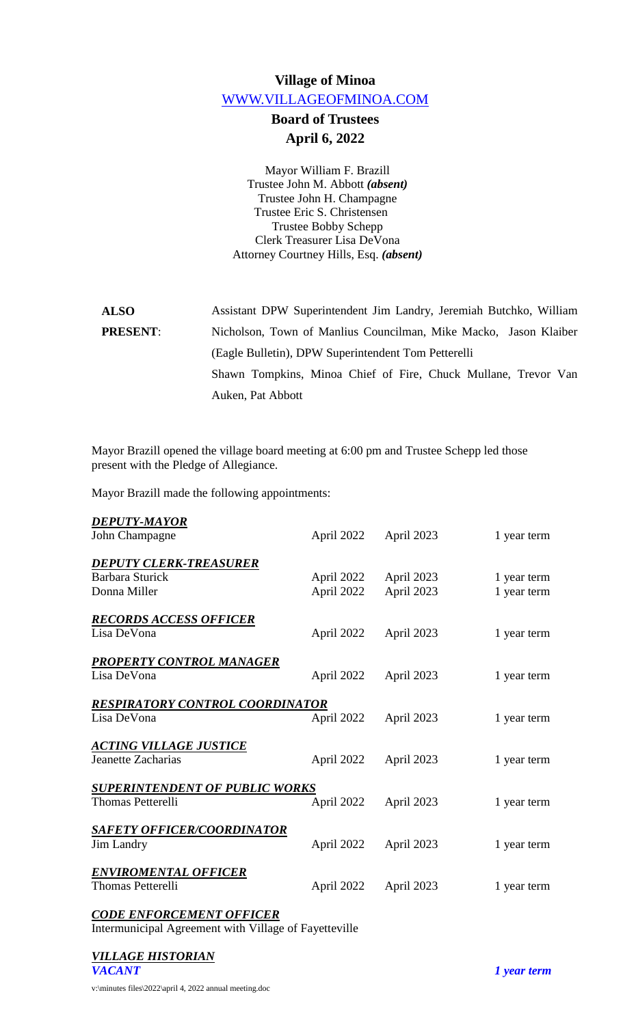# **Village of Minoa** [WWW.VILLAGEOFMINOA.COM](http://www.villageofminoa.com/)

# **Board of Trustees April 6, 2022**

Mayor William F. Brazill Trustee John M. Abbott *(absent)* Trustee John H. Champagne Trustee Eric S. Christensen Trustee Bobby Schepp Clerk Treasurer Lisa DeVona Attorney Courtney Hills, Esq. *(absent)*

| <b>ALSO</b>     | Assistant DPW Superintendent Jim Landry, Jeremiah Butchko, William |
|-----------------|--------------------------------------------------------------------|
| <b>PRESENT:</b> | Nicholson, Town of Manlius Councilman, Mike Macko, Jason Klaiber   |
|                 | (Eagle Bulletin), DPW Superintendent Tom Petterelli                |
|                 | Shawn Tompkins, Minoa Chief of Fire, Chuck Mullane, Trevor Van     |
|                 | Auken, Pat Abbott                                                  |

Mayor Brazill opened the village board meeting at 6:00 pm and Trustee Schepp led those present with the Pledge of Allegiance.

Mayor Brazill made the following appointments:

| DEPUTY-MAYOR<br>John Champagne                                    | April 2022               | April 2023               | 1 year term                |
|-------------------------------------------------------------------|--------------------------|--------------------------|----------------------------|
|                                                                   |                          |                          |                            |
| <b>DEPUTY CLERK-TREASURER</b><br>Barbara Sturick<br>Donna Miller  | April 2022<br>April 2022 | April 2023<br>April 2023 | 1 year term<br>1 year term |
| <b>RECORDS ACCESS OFFICER</b><br>Lisa DeVona                      | April 2022               | April 2023               | 1 year term                |
| <b>PROPERTY CONTROL MANAGER</b><br>Lisa DeVona                    | April 2022               | April 2023               | 1 year term                |
| <b>RESPIRATORY CONTROL COORDINATOR</b><br>Lisa DeVona             | April 2022               | April 2023               | 1 year term                |
| <u>ACTING VILLAGE JUSTICE</u><br>Jeanette Zacharias               | April 2022               | April 2023               | 1 year term                |
| <b>SUPERINTENDENT OF PUBLIC WORKS</b><br><b>Thomas Petterelli</b> | April 2022               | April 2023               | 1 year term                |
| <b>SAFETY OFFICER/COORDINATOR</b><br><b>Jim Landry</b>            | April 2022               | April 2023               | 1 year term                |
| <b>ENVIROMENTAL OFFICER</b><br><b>Thomas Petterelli</b>           | April 2022               | April 2023               | 1 year term                |
|                                                                   |                          |                          |                            |

*CODE ENFORCEMENT OFFICER* Intermunicipal Agreement with Village of Fayetteville

v:\minutes files\2022\april 4, 2022 annual meeting.doc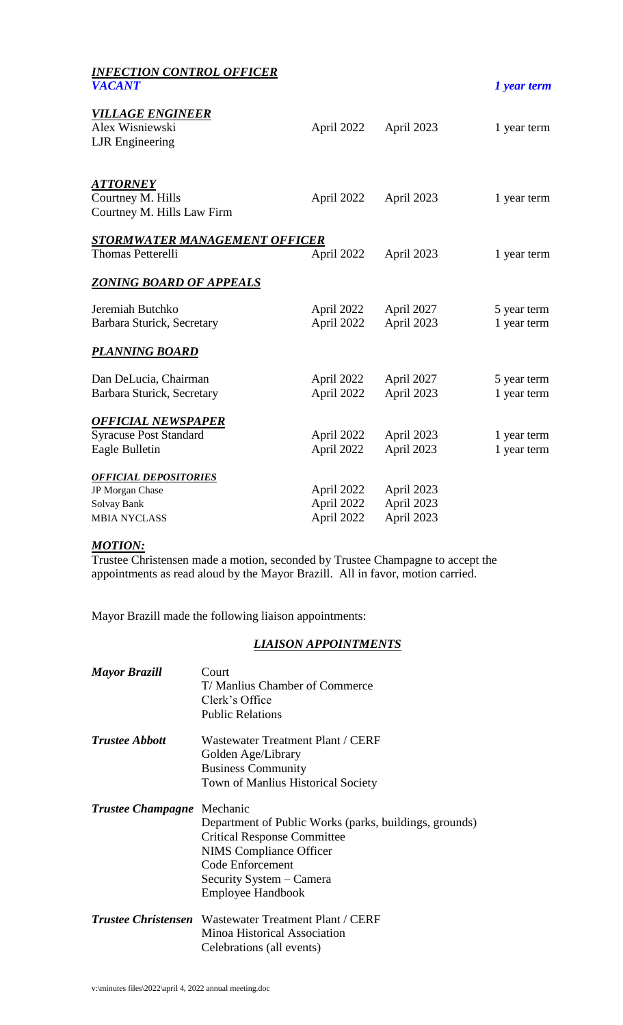| <b>INFECTION CONTROL OFFICER</b><br><b>VACANT</b>                                     |                                        |                                        | 1 year term                |
|---------------------------------------------------------------------------------------|----------------------------------------|----------------------------------------|----------------------------|
| <b>VILLAGE ENGINEER</b><br>Alex Wisniewski<br><b>LJR</b> Engineering                  | April 2022                             | April 2023                             | 1 year term                |
| <b>ATTORNEY</b><br>Courtney M. Hills<br>Courtney M. Hills Law Firm                    | April 2022                             | April 2023                             | 1 year term                |
| <b>STORMWATER MANAGEMENT OFFICER</b><br><b>Thomas Petterelli</b>                      | April 2022                             | April 2023                             | 1 year term                |
| <u>ZONING BOARD OF APPEALS</u>                                                        |                                        |                                        |                            |
| Jeremiah Butchko<br>Barbara Sturick, Secretary                                        | April 2022<br>April 2022               | April 2027<br>April 2023               | 5 year term<br>1 year term |
| <b>PLANNING BOARD</b>                                                                 |                                        |                                        |                            |
| Dan DeLucia, Chairman<br>Barbara Sturick, Secretary                                   | April 2022<br>April 2022               | April 2027<br>April 2023               | 5 year term<br>1 year term |
| <b>OFFICIAL NEWSPAPER</b><br><b>Syracuse Post Standard</b><br>Eagle Bulletin          | April 2022<br>April 2022               | April 2023<br>April 2023               | 1 year term<br>1 year term |
| <b>OFFICIAL DEPOSITORIES</b><br>JP Morgan Chase<br>Solvay Bank<br><b>MBIA NYCLASS</b> | April 2022<br>April 2022<br>April 2022 | April 2023<br>April 2023<br>April 2023 |                            |

#### *MOTION:*

Trustee Christensen made a motion, seconded by Trustee Champagne to accept the appointments as read aloud by the Mayor Brazill. All in favor, motion carried.

Mayor Brazill made the following liaison appointments:

## *LIAISON APPOINTMENTS*

| <b>Mayor Brazill</b>     | Court<br>T/Manlius Chamber of Commerce<br>Clerk's Office<br><b>Public Relations</b>                                                                                                                             |
|--------------------------|-----------------------------------------------------------------------------------------------------------------------------------------------------------------------------------------------------------------|
| <b>Trustee Abbott</b>    | Wastewater Treatment Plant / CERF<br>Golden Age/Library<br><b>Business Community</b><br><b>Town of Manlius Historical Society</b>                                                                               |
| <b>Trustee Champagne</b> | Mechanic<br>Department of Public Works (parks, buildings, grounds)<br><b>Critical Response Committee</b><br><b>NIMS</b> Compliance Officer<br>Code Enforcement<br>Security System – Camera<br>Employee Handbook |
|                          | <i>Trustee Christensen</i> Wastewater Treatment Plant / CERF<br>Minoa Historical Association<br>Celebrations (all events)                                                                                       |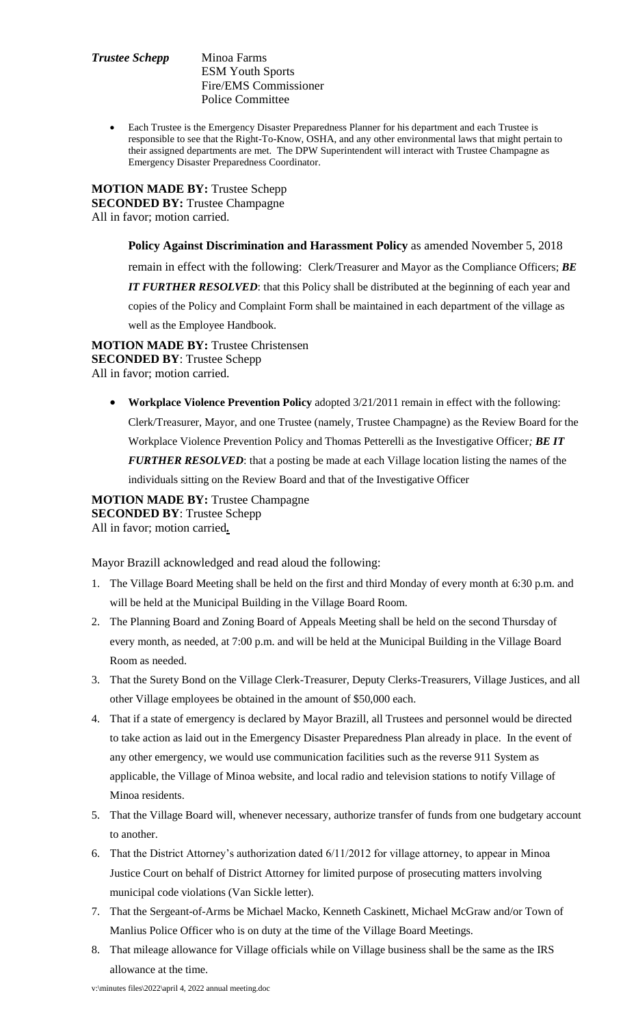#### *Trustee Schepp* Minoa Farms ESM Youth Sports Fire/EMS Commissioner Police Committee

 Each Trustee is the Emergency Disaster Preparedness Planner for his department and each Trustee is responsible to see that the Right-To-Know, OSHA, and any other environmental laws that might pertain to their assigned departments are met. The DPW Superintendent will interact with Trustee Champagne as Emergency Disaster Preparedness Coordinator.

**MOTION MADE BY:** Trustee Schepp **SECONDED BY:** Trustee Champagne All in favor; motion carried.

> **Policy Against Discrimination and Harassment Policy** as amended November 5, 2018 remain in effect with the following: Clerk/Treasurer and Mayor as the Compliance Officers; *BE IT FURTHER RESOLVED*: that this Policy shall be distributed at the beginning of each year and copies of the Policy and Complaint Form shall be maintained in each department of the village as well as the Employee Handbook.

**MOTION MADE BY:** Trustee Christensen **SECONDED BY**: Trustee Schepp All in favor; motion carried.

 **Workplace Violence Prevention Policy** adopted 3/21/2011 remain in effect with the following: Clerk/Treasurer, Mayor, and one Trustee (namely, Trustee Champagne) as the Review Board for the Workplace Violence Prevention Policy and Thomas Petterelli as the Investigative Officer*; BE IT FURTHER RESOLVED*: that a posting be made at each Village location listing the names of the individuals sitting on the Review Board and that of the Investigative Officer

**MOTION MADE BY:** Trustee Champagne **SECONDED BY**: Trustee Schepp All in favor; motion carried*.*

Mayor Brazill acknowledged and read aloud the following:

- 1. The Village Board Meeting shall be held on the first and third Monday of every month at 6:30 p.m. and will be held at the Municipal Building in the Village Board Room.
- 2. The Planning Board and Zoning Board of Appeals Meeting shall be held on the second Thursday of every month, as needed, at 7:00 p.m. and will be held at the Municipal Building in the Village Board Room as needed.
- 3. That the Surety Bond on the Village Clerk-Treasurer, Deputy Clerks-Treasurers, Village Justices, and all other Village employees be obtained in the amount of \$50,000 each.
- 4. That if a state of emergency is declared by Mayor Brazill, all Trustees and personnel would be directed to take action as laid out in the Emergency Disaster Preparedness Plan already in place. In the event of any other emergency, we would use communication facilities such as the reverse 911 System as applicable, the Village of Minoa website, and local radio and television stations to notify Village of Minoa residents.
- 5. That the Village Board will, whenever necessary, authorize transfer of funds from one budgetary account to another.
- 6. That the District Attorney's authorization dated 6/11/2012 for village attorney, to appear in Minoa Justice Court on behalf of District Attorney for limited purpose of prosecuting matters involving municipal code violations (Van Sickle letter).
- 7. That the Sergeant-of-Arms be Michael Macko, Kenneth Caskinett, Michael McGraw and/or Town of Manlius Police Officer who is on duty at the time of the Village Board Meetings.
- 8. That mileage allowance for Village officials while on Village business shall be the same as the IRS allowance at the time.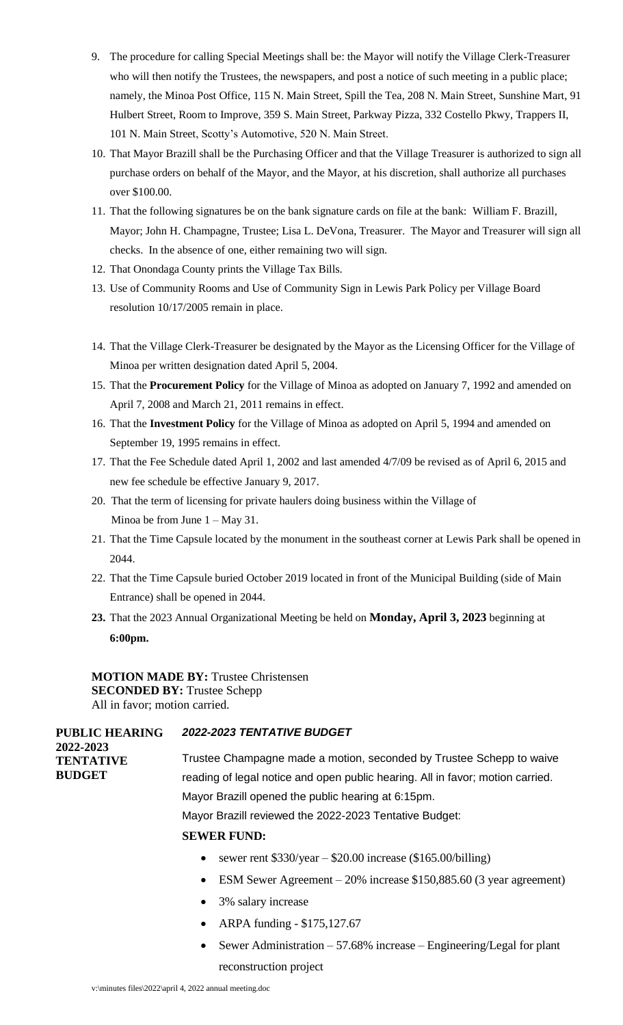- 9. The procedure for calling Special Meetings shall be: the Mayor will notify the Village Clerk-Treasurer who will then notify the Trustees, the newspapers, and post a notice of such meeting in a public place; namely, the Minoa Post Office, 115 N. Main Street, Spill the Tea, 208 N. Main Street, Sunshine Mart, 91 Hulbert Street, Room to Improve, 359 S. Main Street, Parkway Pizza, 332 Costello Pkwy, Trappers II, 101 N. Main Street, Scotty's Automotive, 520 N. Main Street.
- 10. That Mayor Brazill shall be the Purchasing Officer and that the Village Treasurer is authorized to sign all purchase orders on behalf of the Mayor, and the Mayor, at his discretion, shall authorize all purchases over \$100.00.
- 11. That the following signatures be on the bank signature cards on file at the bank: William F. Brazill, Mayor; John H. Champagne, Trustee; Lisa L. DeVona, Treasurer. The Mayor and Treasurer will sign all checks. In the absence of one, either remaining two will sign.
- 12. That Onondaga County prints the Village Tax Bills.
- 13. Use of Community Rooms and Use of Community Sign in Lewis Park Policy per Village Board resolution 10/17/2005 remain in place.
- 14. That the Village Clerk-Treasurer be designated by the Mayor as the Licensing Officer for the Village of Minoa per written designation dated April 5, 2004.
- 15. That the **Procurement Policy** for the Village of Minoa as adopted on January 7, 1992 and amended on April 7, 2008 and March 21, 2011 remains in effect.
- 16. That the **Investment Policy** for the Village of Minoa as adopted on April 5, 1994 and amended on September 19, 1995 remains in effect.
- 17. That the Fee Schedule dated April 1, 2002 and last amended 4/7/09 be revised as of April 6, 2015 and new fee schedule be effective January 9, 2017.
- 20. That the term of licensing for private haulers doing business within the Village of Minoa be from June  $1 - May 31$ .
- 21. That the Time Capsule located by the monument in the southeast corner at Lewis Park shall be opened in 2044.
- 22. That the Time Capsule buried October 2019 located in front of the Municipal Building (side of Main Entrance) shall be opened in 2044.
- **23.** That the 2023 Annual Organizational Meeting be held on **Monday, April 3, 2023** beginning at **6:00pm.**

**MOTION MADE BY:** Trustee Christensen **SECONDED BY:** Trustee Schepp All in favor; motion carried.

| <b>PUBLIC HEARING</b>         | <b>2022-2023 TENTATIVE BUDGET</b>                                              |
|-------------------------------|--------------------------------------------------------------------------------|
| 2022-2023<br><b>TENTATIVE</b> | Trustee Champagne made a motion, seconded by Trustee Schepp to waive           |
| <b>BUDGET</b>                 | reading of legal notice and open public hearing. All in favor; motion carried. |
|                               | Mayor Brazill opened the public hearing at 6:15pm.                             |
|                               | Mayor Brazill reviewed the 2022-2023 Tentative Budget:                         |
|                               | <b>SEWER FUND:</b>                                                             |
|                               | sewer rent $$330/year - $20.00$ increase (\$165.00/billing)<br>$\bullet$       |

- ESM Sewer Agreement 20% increase \$150,885.60 (3 year agreement)
- 3% salary increase
- ARPA funding \$175,127.67
- Sewer Administration  $-57.68\%$  increase  $-$  Engineering/Legal for plant reconstruction project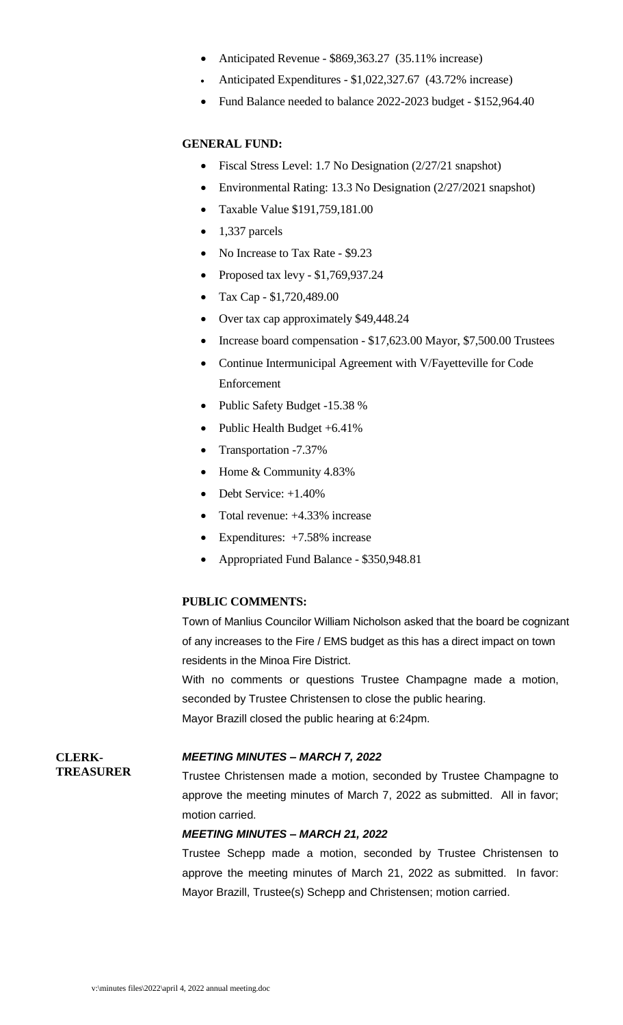- Anticipated Revenue \$869,363.27 (35.11% increase)
- Anticipated Expenditures \$1,022,327.67 (43.72% increase)
- Fund Balance needed to balance 2022-2023 budget \$152,964.40

#### **GENERAL FUND:**

- Fiscal Stress Level: 1.7 No Designation (2/27/21 snapshot)
- Environmental Rating: 13.3 No Designation (2/27/2021 snapshot)
- Taxable Value \$191,759,181.00
- $\bullet$  1,337 parcels
- No Increase to Tax Rate \$9.23
- Proposed tax levy  $$1,769,937.24$
- Tax Cap \$1,720,489.00
- Over tax cap approximately \$49,448.24
- Increase board compensation \$17,623.00 Mayor, \$7,500.00 Trustees
- Continue Intermunicipal Agreement with V/Fayetteville for Code Enforcement
- Public Safety Budget -15.38 %
- Public Health Budget  $+6.41\%$
- Transportation -7.37%
- Home & Community 4.83%
- Debt Service: +1.40%
- Total revenue:  $+4.33\%$  increase
- Expenditures: +7.58% increase
- Appropriated Fund Balance \$350,948.81

#### **PUBLIC COMMENTS:**

Town of Manlius Councilor William Nicholson asked that the board be cognizant of any increases to the Fire / EMS budget as this has a direct impact on town residents in the Minoa Fire District.

With no comments or questions Trustee Champagne made a motion, seconded by Trustee Christensen to close the public hearing. Mayor Brazill closed the public hearing at 6:24pm.

#### *MEETING MINUTES – MARCH 7, 2022*

Trustee Christensen made a motion, seconded by Trustee Champagne to approve the meeting minutes of March 7, 2022 as submitted. All in favor; motion carried.

#### *MEETING MINUTES – MARCH 21, 2022*

Trustee Schepp made a motion, seconded by Trustee Christensen to approve the meeting minutes of March 21, 2022 as submitted. In favor: Mayor Brazill, Trustee(s) Schepp and Christensen; motion carried.

**CLERK-TREASURER**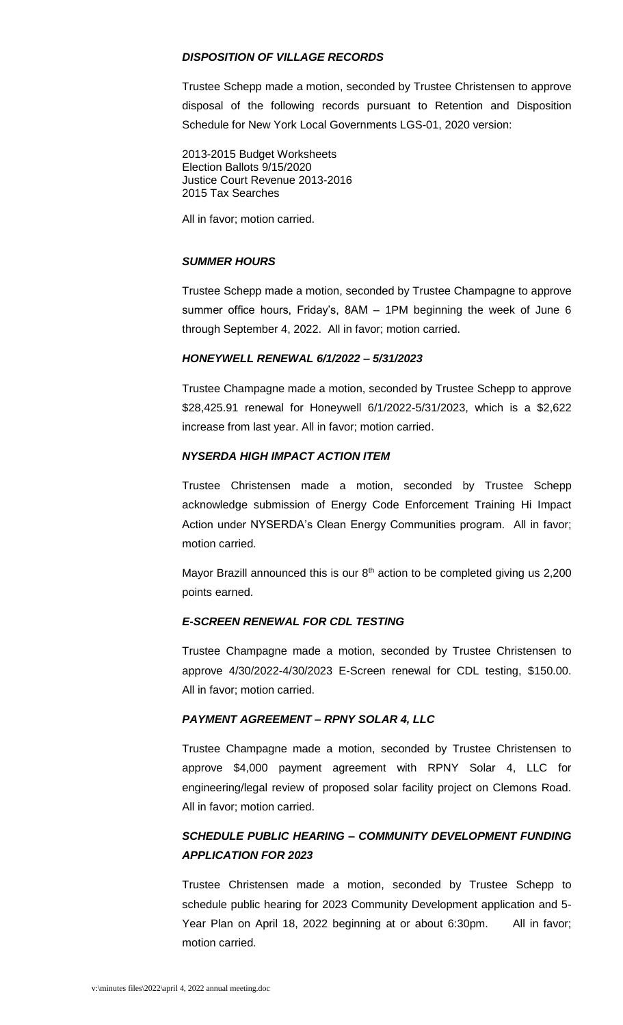#### *DISPOSITION OF VILLAGE RECORDS*

Trustee Schepp made a motion, seconded by Trustee Christensen to approve disposal of the following records pursuant to Retention and Disposition Schedule for New York Local Governments LGS-01, 2020 version:

2013-2015 Budget Worksheets Election Ballots 9/15/2020 Justice Court Revenue 2013-2016 2015 Tax Searches

All in favor; motion carried.

### *SUMMER HOURS*

Trustee Schepp made a motion, seconded by Trustee Champagne to approve summer office hours, Friday's, 8AM – 1PM beginning the week of June 6 through September 4, 2022. All in favor; motion carried.

#### *HONEYWELL RENEWAL 6/1/2022 – 5/31/2023*

Trustee Champagne made a motion, seconded by Trustee Schepp to approve \$28,425.91 renewal for Honeywell 6/1/2022-5/31/2023, which is a \$2,622 increase from last year. All in favor; motion carried.

#### *NYSERDA HIGH IMPACT ACTION ITEM*

Trustee Christensen made a motion, seconded by Trustee Schepp acknowledge submission of Energy Code Enforcement Training Hi Impact Action under NYSERDA's Clean Energy Communities program. All in favor; motion carried.

Mayor Brazill announced this is our  $8<sup>th</sup>$  action to be completed giving us 2,200 points earned.

#### *E-SCREEN RENEWAL FOR CDL TESTING*

Trustee Champagne made a motion, seconded by Trustee Christensen to approve 4/30/2022-4/30/2023 E-Screen renewal for CDL testing, \$150.00. All in favor; motion carried.

#### *PAYMENT AGREEMENT – RPNY SOLAR 4, LLC*

Trustee Champagne made a motion, seconded by Trustee Christensen to approve \$4,000 payment agreement with RPNY Solar 4, LLC for engineering/legal review of proposed solar facility project on Clemons Road. All in favor; motion carried.

# *SCHEDULE PUBLIC HEARING – COMMUNITY DEVELOPMENT FUNDING APPLICATION FOR 2023*

Trustee Christensen made a motion, seconded by Trustee Schepp to schedule public hearing for 2023 Community Development application and 5- Year Plan on April 18, 2022 beginning at or about 6:30pm. All in favor; motion carried.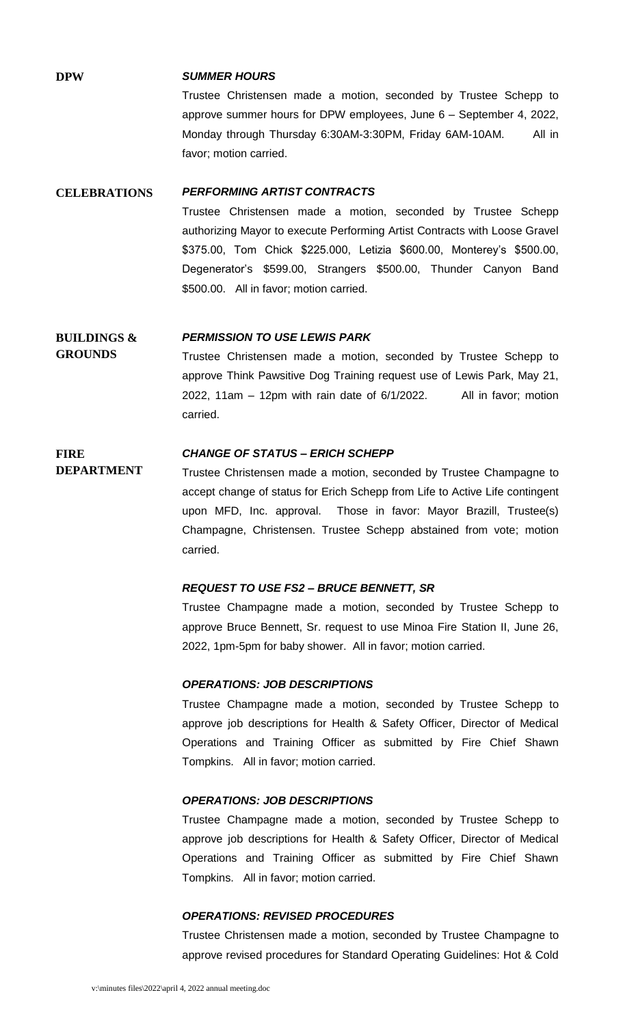#### **DPW** *SUMMER HOURS*

Trustee Christensen made a motion, seconded by Trustee Schepp to approve summer hours for DPW employees, June 6 – September 4, 2022, Monday through Thursday 6:30AM-3:30PM, Friday 6AM-10AM. All in favor; motion carried.

#### **CELEBRATIONS** *PERFORMING ARTIST CONTRACTS*

Trustee Christensen made a motion, seconded by Trustee Schepp authorizing Mayor to execute Performing Artist Contracts with Loose Gravel \$375.00, Tom Chick \$225.000, Letizia \$600.00, Monterey's \$500.00, Degenerator's \$599.00, Strangers \$500.00, Thunder Canyon Band \$500.00. All in favor; motion carried.

#### **BUILDINGS &**  *PERMISSION TO USE LEWIS PARK*

**GROUNDS** Trustee Christensen made a motion, seconded by Trustee Schepp to approve Think Pawsitive Dog Training request use of Lewis Park, May 21, 2022, 11am – 12pm with rain date of 6/1/2022. All in favor; motion carried.

#### **FIRE**  *CHANGE OF STATUS – ERICH SCHEPP*

**DEPARTMENT** Trustee Christensen made a motion, seconded by Trustee Champagne to accept change of status for Erich Schepp from Life to Active Life contingent upon MFD, Inc. approval. Those in favor: Mayor Brazill, Trustee(s) Champagne, Christensen. Trustee Schepp abstained from vote; motion carried.

#### *REQUEST TO USE FS2 – BRUCE BENNETT, SR*

Trustee Champagne made a motion, seconded by Trustee Schepp to approve Bruce Bennett, Sr. request to use Minoa Fire Station II, June 26, 2022, 1pm-5pm for baby shower. All in favor; motion carried.

#### *OPERATIONS: JOB DESCRIPTIONS*

Trustee Champagne made a motion, seconded by Trustee Schepp to approve job descriptions for Health & Safety Officer, Director of Medical Operations and Training Officer as submitted by Fire Chief Shawn Tompkins. All in favor; motion carried.

#### *OPERATIONS: JOB DESCRIPTIONS*

Trustee Champagne made a motion, seconded by Trustee Schepp to approve job descriptions for Health & Safety Officer, Director of Medical Operations and Training Officer as submitted by Fire Chief Shawn Tompkins. All in favor; motion carried.

### *OPERATIONS: REVISED PROCEDURES*

Trustee Christensen made a motion, seconded by Trustee Champagne to approve revised procedures for Standard Operating Guidelines: Hot & Cold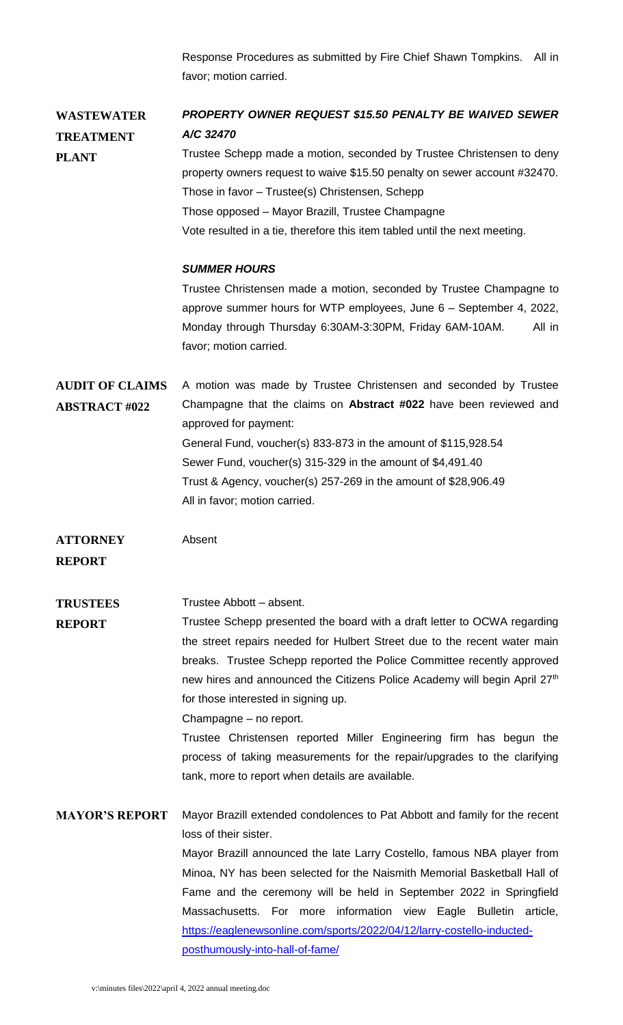Response Procedures as submitted by Fire Chief Shawn Tompkins. All in favor; motion carried.

**WASTEWATER TREATMENT PLANT** *PROPERTY OWNER REQUEST \$15.50 PENALTY BE WAIVED SEWER A/C 32470* Trustee Schepp made a motion, seconded by Trustee Christensen to deny property owners request to waive \$15.50 penalty on sewer account #32470. Those in favor – Trustee(s) Christensen, Schepp

Those opposed – Mayor Brazill, Trustee Champagne

Vote resulted in a tie, therefore this item tabled until the next meeting.

### *SUMMER HOURS*

Trustee Christensen made a motion, seconded by Trustee Champagne to approve summer hours for WTP employees, June 6 – September 4, 2022, Monday through Thursday 6:30AM-3:30PM, Friday 6AM-10AM. All in favor; motion carried.

**AUDIT OF CLAIMS ABSTRACT #022** A motion was made by Trustee Christensen and seconded by Trustee Champagne that the claims on **Abstract #022** have been reviewed and approved for payment: General Fund, voucher(s) 833-873 in the amount of \$115,928.54 Sewer Fund, voucher(s) 315-329 in the amount of \$4,491.40 Trust & Agency, voucher(s) 257-269 in the amount of \$28,906.49 All in favor; motion carried.

**ATTORNEY REPORT** Absent

**TRUSTEES**  Trustee Abbott – absent.

**REPORT** Trustee Schepp presented the board with a draft letter to OCWA regarding the street repairs needed for Hulbert Street due to the recent water main breaks. Trustee Schepp reported the Police Committee recently approved new hires and announced the Citizens Police Academy will begin April 27<sup>th</sup> for those interested in signing up.

Champagne – no report.

Trustee Christensen reported Miller Engineering firm has begun the process of taking measurements for the repair/upgrades to the clarifying tank, more to report when details are available.

**MAYOR'S REPORT** Mayor Brazill extended condolences to Pat Abbott and family for the recent loss of their sister. Mayor Brazill announced the late Larry Costello, famous NBA player from Minoa, NY has been selected for the Naismith Memorial Basketball Hall of Fame and the ceremony will be held in September 2022 in Springfield Massachusetts. For more information view Eagle Bulletin article, [https://eaglenewsonline.com/sports/2022/04/12/larry-costello-inducted](https://eaglenewsonline.com/sports/2022/04/12/larry-costello-inducted-posthumously-into-hall-of-fame/)[posthumously-into-hall-of-fame/](https://eaglenewsonline.com/sports/2022/04/12/larry-costello-inducted-posthumously-into-hall-of-fame/)